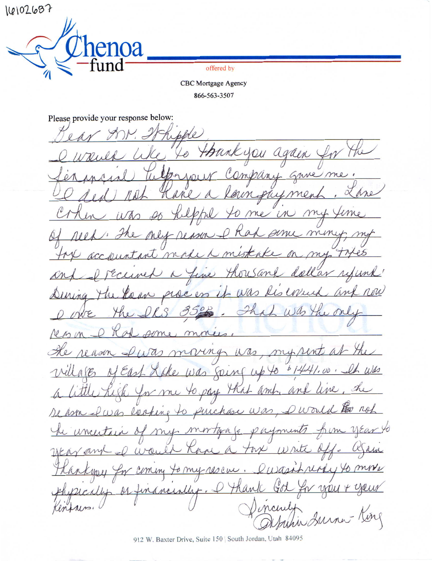14102687

noa  $\epsilon_{\text{M}} \leq - \text{fund}$ 

CBC Mortgage Agency 866-563-3507

Please provide your response below:

frtv, pple Hounkyou again  $\overline{\mathscr{O}}$ Gryour Company gave /Ylte2. lown phymen ane  $\sqrt{A}$  $\mathbb{Z}$ ope me in  $Y$ miny mly reason  $P$  Ka  $\Delta$ puntant make a misten my a fine thousand dollar Ecc wer an process it Dening the wa the Ils 3500.  $\alpha$  $wa$ repon I had some mon the >Yreason moving Was, my rint ar  $was$  sping up to  $51441.00$ . It was les of Eas Vill Me ,/o ne , he that and. In mi  $\text{A} \times \text{C}$ rof expense to purchase  $wa$  $J\alpha$  $\mu$  $\n *2*$ in of my mortgage payments YO incer Write off. was  $\Lambda$ the am ran to my resen. replu 70 more Coming  $l$ *Wash* ancially. an TA  $\mu$ newly Ar,/4^.'q

912 W. Baxter Drive, Suite 150 | South Jordan, Utah 84095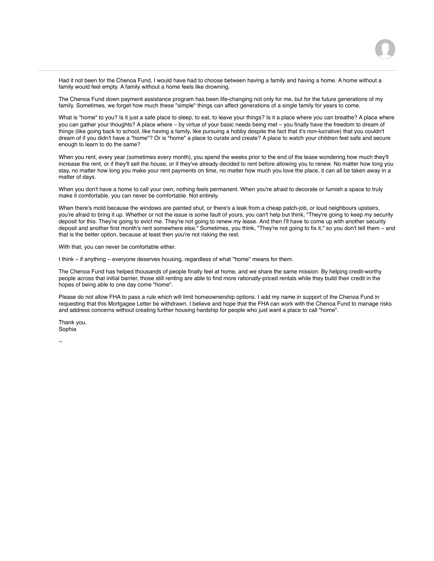Had it not been for the Chenoa Fund, I would have had to choose between having a family and having a home. A home without a family would feel empty. A family without a home feels like drowning.

The Chenoa Fund down payment assistance program has been life-changing not only for me, but for the future generations of my family. Sometimes, we forget how much these "simple" things can affect generations of a single family for years to come.

What is "home" to you? Is it just a safe place to sleep, to eat, to leave your things? Is it a place where you can breathe? A place where you can gather your thoughts? A place where – by virtue of your basic needs being met – you finally have the freedom to dream of things (like going back to school, like having a family, like pursuing a hobby despite the fact that it's non-lucrative) that you couldn't dream of if you didn't have a "home"? Or is "home" a place to curate and create? A place to watch your children feel safe and secure enough to learn to do the same?

When you rent, every year (sometimes every month), you spend the weeks prior to the end of the lease wondering how much they'll increase the rent, or if they'll sell the house, or if they've already decided to rent before allowing you to renew. No matter how long you stay, no matter how long you make your rent payments on time, no matter how much you love the place, it can all be taken away in a matter of days.

When you don't have a home to call your own, nothing feels permanent. When you're afraid to decorate or furnish a space to truly make it comfortable, you can never be comfortable. Not entirely.

When there's mold because the windows are painted shut, or there's a leak from a cheap patch-job, or loud neighbours upstairs, you're afraid to bring it up. Whether or not the issue is some fault of yours, you can't help but think, "They're going to keep my security deposit for this. They're going to evict me. They're not going to renew my lease. And then I'll have to come up with another security deposit and another first month's rent somewhere else." Sometimes, you think, "They're not going to fix it," so you don't tell them – and that is the better option, because at least then you're not risking the rest.

With that, you can never be comfortable either.

I think – if anything – everyone deserves housing, regardless of what "home" means for them.

The Chenoa Fund has helped thousands of people finally feel at home, and we share the same mission. By helping credit-worthy people across that initial barrier, those still renting are able to find more rationally-priced rentals while they build their credit in the hopes of being able to one day come "home".

Please do not allow FHA to pass a rule which will limit homeownership options. I add my name in support of the Chenoa Fund in requesting that this Mortgagee Letter be withdrawn. I believe and hope that the FHA can work with the Chenoa Fund to manage risks and address concerns without creating further housing hardship for people who just want a place to call "home".

Thank you. Sophia

--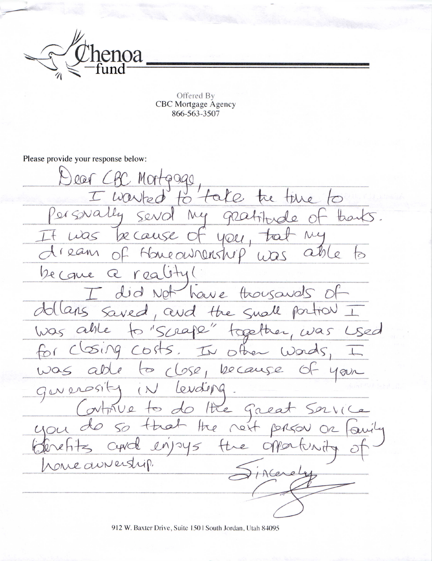

Offered By CBC Mortgage Agency 866-563-3507

Please provide your response below:

ear C Mor - Warter  $\mathcal{L}^{\mathcal{D}}$  $\overline{10}$  $\overline{O}$ lly  $Vol(G)$ My Serval De Couse  $uas$ you, Homeowneaship ream  $2\alpha U$ be care rea R did Not have thousands ars Saved the Suall aud alil sed  $\overline{\mathcal{L}}$ Was  $raR$ łD tage  $O<sup>4</sup>$  $\mathcal{Q}$  $C$ S  $\sum$ IN Words  $\overline{\text{O}}$  $c\cos e$ because  $Q$  $\rightarrow$  $\ell$ gur Levoter Gener  $(X)$ Mue to de great the  $V(C_{2})$ that the  $50$  $Q+$ Repso  $\alpha$ Cyvick  $l$ 1)  $345$ rome aureistip.

912 W. Baxter Drive, Suite 150 | South Jordan, Utah 84095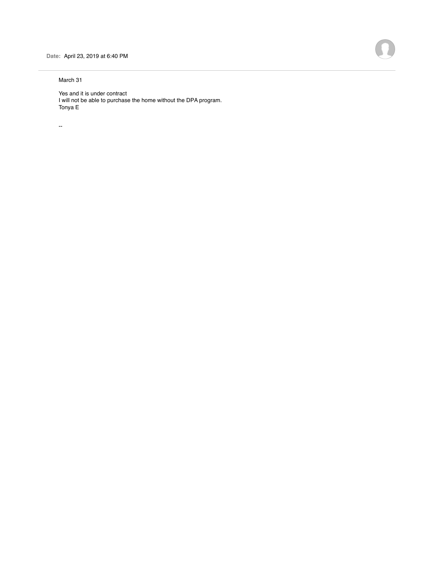## March 31

Yes and it is under contract I will not be able to purchase the home without the DPA program. Tonya E

--